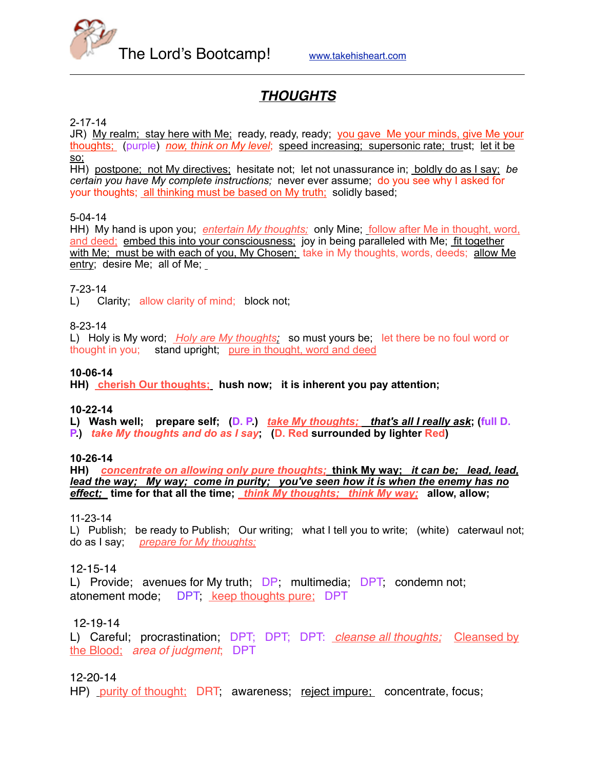

# *THOUGHTS*

## 2-17-14

JR) My realm; stay here with Me; ready, ready, ready; you gave Me your minds, give Me your thoughts; (purple) *now, think on My level*; speed increasing; supersonic rate; trust; let it be so;

HH) postpone; not My directives; hesitate not; let not unassurance in; boldly do as I say; *be certain you have My complete instructions;* never ever assume; do you see why I asked for your thoughts; all thinking must be based on My truth; solidly based;

## 5-04-14

HH) My hand is upon you; *entertain My thoughts;* only Mine; *follow after Me in thought, word,* and deed; embed this into your consciousness; joy in being paralleled with Me; fit together with Me; must be with each of you, My Chosen; take in My thoughts, words, deeds; allow Me entry; desire Me; all of Me;

## 7-23-14

L) Clarity; allow clarity of mind; block not;

### 8-23-14

L) Holy is My word; *Holy are My thoughts;* so must yours be; let there be no foul word or thought in you; stand upright; pure in thought, word and deed

### **10-06-14**

**HH) cherish Our thoughts; hush now; it is inherent you pay attention;** 

### **10-22-14**

**L) Wash well; prepare self; (D. P.)** *take My thoughts; that's all I really ask***; (full D. P.)** *take My thoughts and do as I say***; (D. Red surrounded by lighter Red)**

### **10-26-14**

**HH)** *concentrate on allowing only pure thoughts;* **think My way;** *it can be; lead, lead, lead the way; My way; come in purity; you've seen how it is when the enemy has no effect;* **time for that all the time;** *think My thoughts; think My way;* **allow, allow;**

11-23-14

L) Publish; be ready to Publish; Our writing; what I tell you to write; (white) caterwaul not; do as I say; *prepare for My thoughts;*

### 12-15-14

L) Provide; avenues for My truth; DP; multimedia; DPT; condemn not; atonement mode; DPT; keep thoughts pure; DPT

## 12-19-14

L) Careful; procrastination; DPT; DPT; DPT: *cleanse all thoughts;* Cleansed by the Blood; *area of judgment*; DPT

## 12-20-14

HP) purity of thought; DRT, awareness; reject impure; concentrate, focus;